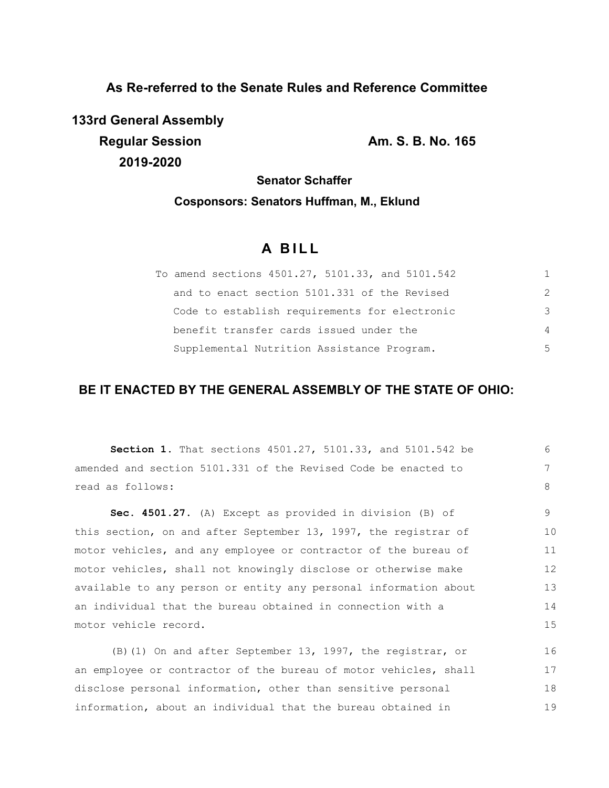**As Re-referred to the Senate Rules and Reference Committee**

**133rd General Assembly Regular Session Am. S. B. No. 165 2019-2020**

18 19

**Senator Schaffer**

## **Cosponsors: Senators Huffman, M., Eklund**

# **A B I L L**

| To amend sections 4501.27, 5101.33, and 5101.542 |               |
|--------------------------------------------------|---------------|
| and to enact section 5101.331 of the Revised     | $\mathcal{P}$ |
| Code to establish requirements for electronic    | 3             |
| benefit transfer cards issued under the          | 4             |
| Supplemental Nutrition Assistance Program.       | 5             |

# **BE IT ENACTED BY THE GENERAL ASSEMBLY OF THE STATE OF OHIO:**

| <b>Section 1.</b> That sections $4501.27$ , $5101.33$ , and $5101.542$ be | 6  |  |  |  |  |
|---------------------------------------------------------------------------|----|--|--|--|--|
| amended and section 5101.331 of the Revised Code be enacted to            |    |  |  |  |  |
| read as follows:                                                          | 8  |  |  |  |  |
| Sec. 4501.27. (A) Except as provided in division (B) of                   | 9  |  |  |  |  |
| this section, on and after September 13, 1997, the registrar of           | 10 |  |  |  |  |
| motor vehicles, and any employee or contractor of the bureau of           | 11 |  |  |  |  |
| motor vehicles, shall not knowingly disclose or otherwise make            | 12 |  |  |  |  |
| available to any person or entity any personal information about          | 13 |  |  |  |  |
| an individual that the bureau obtained in connection with a               | 14 |  |  |  |  |
| motor vehicle record.                                                     | 15 |  |  |  |  |
| (B) (1) On and after September 13, 1997, the registrar, or                | 16 |  |  |  |  |
| an employee or contractor of the bureau of motor vehicles, shall          | 17 |  |  |  |  |

disclose personal information, other than sensitive personal information, about an individual that the bureau obtained in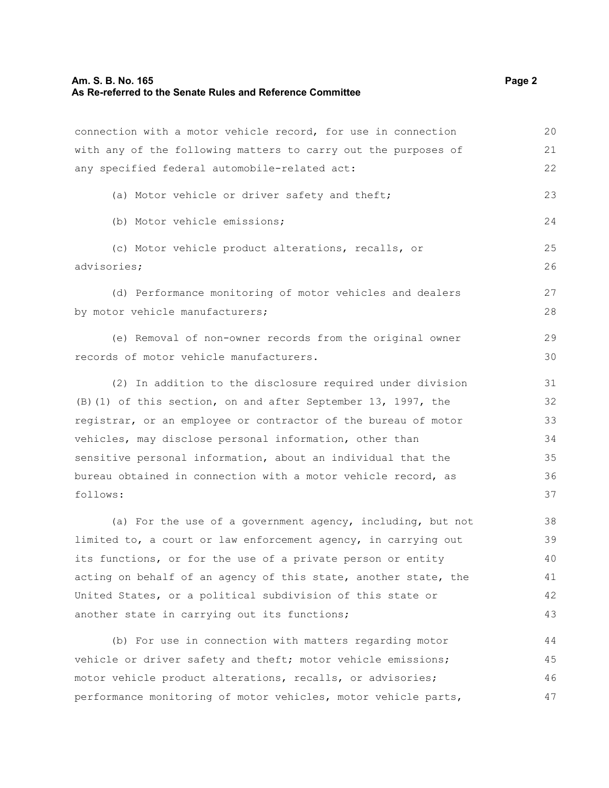#### **Am. S. B. No. 165 Page 2 As Re-referred to the Senate Rules and Reference Committee**

connection with a motor vehicle record, for use in connection

with any of the following matters to carry out the purposes of any specified federal automobile-related act: (a) Motor vehicle or driver safety and theft; (b) Motor vehicle emissions; (c) Motor vehicle product alterations, recalls, or advisories; (d) Performance monitoring of motor vehicles and dealers by motor vehicle manufacturers; (e) Removal of non-owner records from the original owner

records of motor vehicle manufacturers. (2) In addition to the disclosure required under division

(B)(1) of this section, on and after September 13, 1997, the registrar, or an employee or contractor of the bureau of motor vehicles, may disclose personal information, other than sensitive personal information, about an individual that the bureau obtained in connection with a motor vehicle record, as follows: 32 33 34 35 36 37

(a) For the use of a government agency, including, but not limited to, a court or law enforcement agency, in carrying out its functions, or for the use of a private person or entity acting on behalf of an agency of this state, another state, the United States, or a political subdivision of this state or another state in carrying out its functions; 38 39 40 41 42 43

(b) For use in connection with matters regarding motor vehicle or driver safety and theft; motor vehicle emissions; motor vehicle product alterations, recalls, or advisories; performance monitoring of motor vehicles, motor vehicle parts, 44 45 46 47

20 21 22

23

24

25 26

27 28

29 30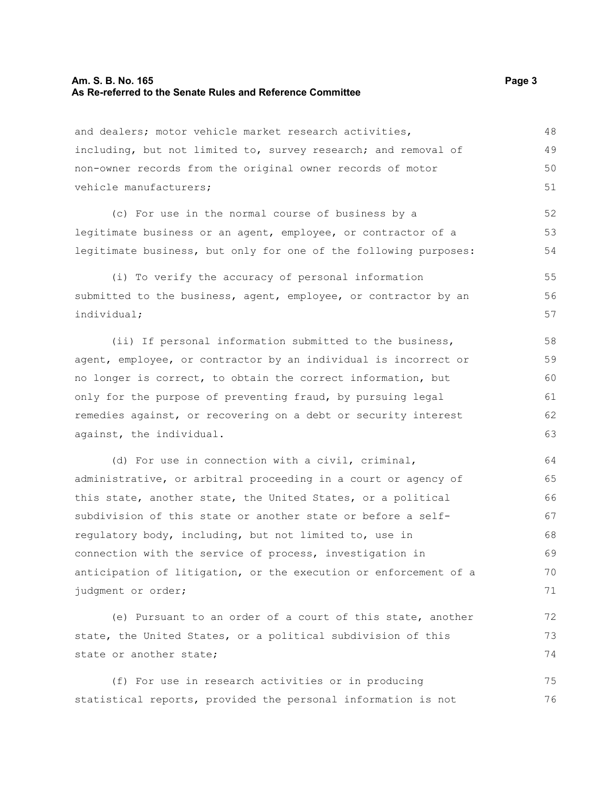#### **Am. S. B. No. 165 Page 3 As Re-referred to the Senate Rules and Reference Committee**

and dealers; motor vehicle market research activities, including, but not limited to, survey research; and removal of non-owner records from the original owner records of motor vehicle manufacturers; 48 49 50 51

(c) For use in the normal course of business by a legitimate business or an agent, employee, or contractor of a legitimate business, but only for one of the following purposes:

(i) To verify the accuracy of personal information submitted to the business, agent, employee, or contractor by an individual; 55 56 57

(ii) If personal information submitted to the business, agent, employee, or contractor by an individual is incorrect or no longer is correct, to obtain the correct information, but only for the purpose of preventing fraud, by pursuing legal remedies against, or recovering on a debt or security interest against, the individual.

(d) For use in connection with a civil, criminal, administrative, or arbitral proceeding in a court or agency of this state, another state, the United States, or a political subdivision of this state or another state or before a selfregulatory body, including, but not limited to, use in connection with the service of process, investigation in anticipation of litigation, or the execution or enforcement of a judgment or order; 64 65 66 67 68 69 70 71

(e) Pursuant to an order of a court of this state, another state, the United States, or a political subdivision of this state or another state; 72 73 74

(f) For use in research activities or in producing statistical reports, provided the personal information is not 75 76

52 53 54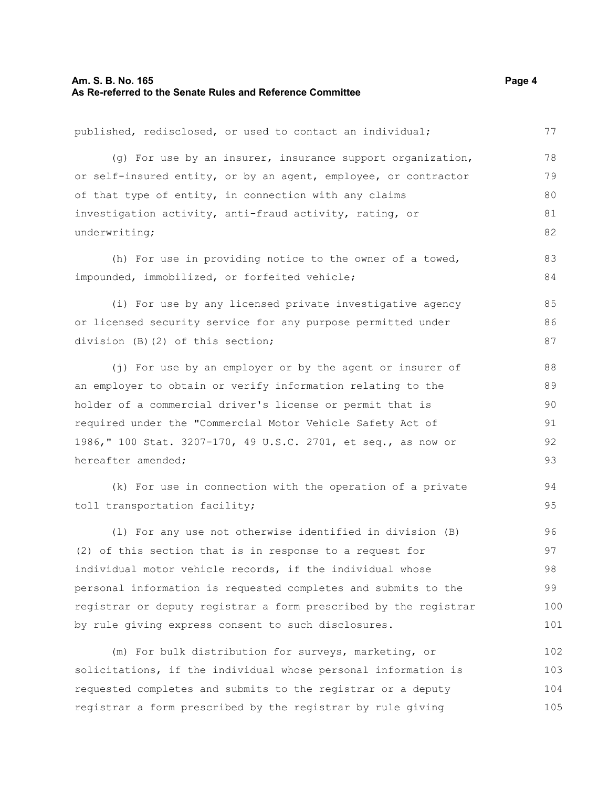published, redisclosed, or used to contact an individual; (g) For use by an insurer, insurance support organization, or self-insured entity, or by an agent, employee, or contractor of that type of entity, in connection with any claims investigation activity, anti-fraud activity, rating, or underwriting; (h) For use in providing notice to the owner of a towed, impounded, immobilized, or forfeited vehicle; (i) For use by any licensed private investigative agency or licensed security service for any purpose permitted under division (B)(2) of this section; (j) For use by an employer or by the agent or insurer of an employer to obtain or verify information relating to the holder of a commercial driver's license or permit that is required under the "Commercial Motor Vehicle Safety Act of 1986," 100 Stat. 3207-170, 49 U.S.C. 2701, et seq., as now or hereafter amended; (k) For use in connection with the operation of a private toll transportation facility; (l) For any use not otherwise identified in division (B) (2) of this section that is in response to a request for individual motor vehicle records, if the individual whose personal information is requested completes and submits to the registrar or deputy registrar a form prescribed by the registrar by rule giving express consent to such disclosures. (m) For bulk distribution for surveys, marketing, or solicitations, if the individual whose personal information is requested completes and submits to the registrar or a deputy registrar a form prescribed by the registrar by rule giving 77 78 79 80 81 82 83 84 85 86 87 88 89 90 91 92 93 94 95 96 97 98 99 100 101 102 103 104 105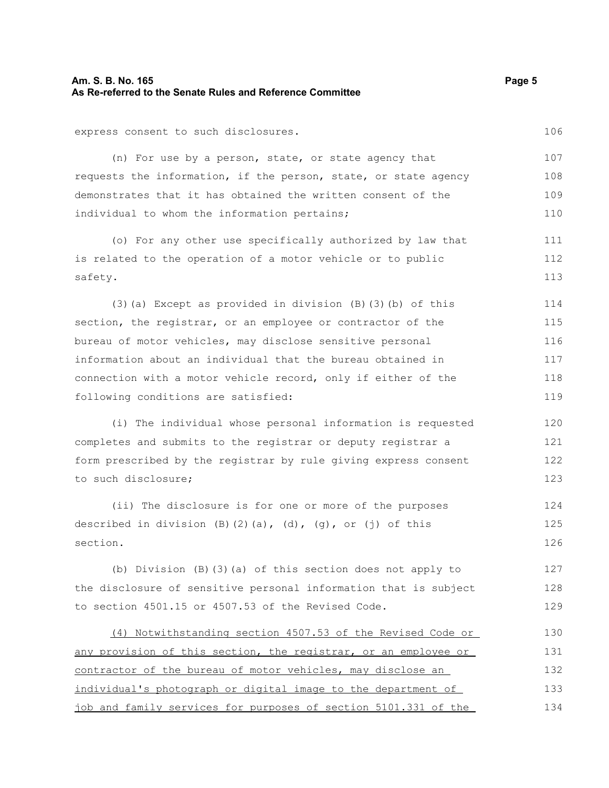#### **Am. S. B. No. 165 Page 5 As Re-referred to the Senate Rules and Reference Committee**

express consent to such disclosures.

(n) For use by a person, state, or state agency that requests the information, if the person, state, or state agency demonstrates that it has obtained the written consent of the individual to whom the information pertains; 109

(o) For any other use specifically authorized by law that is related to the operation of a motor vehicle or to public safety. 111 112 113

(3)(a) Except as provided in division (B)(3)(b) of this section, the registrar, or an employee or contractor of the bureau of motor vehicles, may disclose sensitive personal information about an individual that the bureau obtained in connection with a motor vehicle record, only if either of the following conditions are satisfied: 114 115 116 117 118 119

(i) The individual whose personal information is requested completes and submits to the registrar or deputy registrar a form prescribed by the registrar by rule giving express consent to such disclosure;

(ii) The disclosure is for one or more of the purposes described in division  $(B)$   $(2)$   $(a)$ ,  $(d)$ ,  $(g)$ , or  $(j)$  of this section. 124 126

(b) Division (B)(3)(a) of this section does not apply to the disclosure of sensitive personal information that is subject to section 4501.15 or 4507.53 of the Revised Code. 127

 (4) Notwithstanding section 4507.53 of the Revised Code or any provision of this section, the registrar, or an employee or contractor of the bureau of motor vehicles, may disclose an individual's photograph or digital image to the department of job and family services for purposes of section 5101.331 of the 130 131 132 133 134

108

106

107

110

125

128 129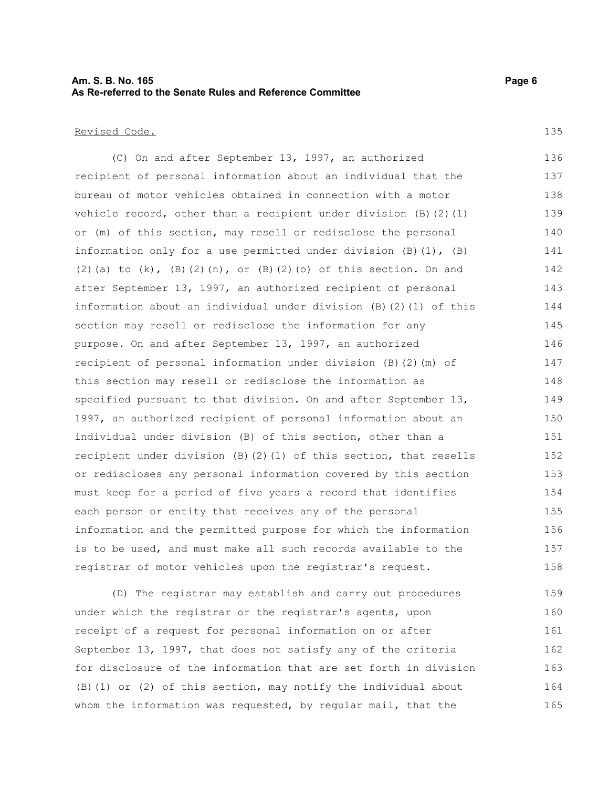#### **Am. S. B. No. 165 Page 6 As Re-referred to the Senate Rules and Reference Committee**

Revised Code.

135

(C) On and after September 13, 1997, an authorized recipient of personal information about an individual that the bureau of motor vehicles obtained in connection with a motor vehicle record, other than a recipient under division (B)(2)(l) or (m) of this section, may resell or redisclose the personal information only for a use permitted under division  $(B)$   $(1)$ ,  $(B)$ (2)(a) to  $(k)$ ,  $(B)$ (2) $(n)$ , or  $(B)$ (2) $(o)$  of this section. On and after September 13, 1997, an authorized recipient of personal information about an individual under division (B)(2)(l) of this section may resell or redisclose the information for any purpose. On and after September 13, 1997, an authorized recipient of personal information under division (B)(2)(m) of this section may resell or redisclose the information as specified pursuant to that division. On and after September 13, 1997, an authorized recipient of personal information about an individual under division (B) of this section, other than a recipient under division (B)(2)(l) of this section, that resells or rediscloses any personal information covered by this section must keep for a period of five years a record that identifies each person or entity that receives any of the personal information and the permitted purpose for which the information is to be used, and must make all such records available to the registrar of motor vehicles upon the registrar's request. 136 137 138 139 140 141 142 143 144 145 146 147 148 149 150 151 152 153 154 155 156 157 158

(D) The registrar may establish and carry out procedures under which the registrar or the registrar's agents, upon receipt of a request for personal information on or after September 13, 1997, that does not satisfy any of the criteria for disclosure of the information that are set forth in division (B)(1) or (2) of this section, may notify the individual about whom the information was requested, by regular mail, that the 159 160 161 162 163 164 165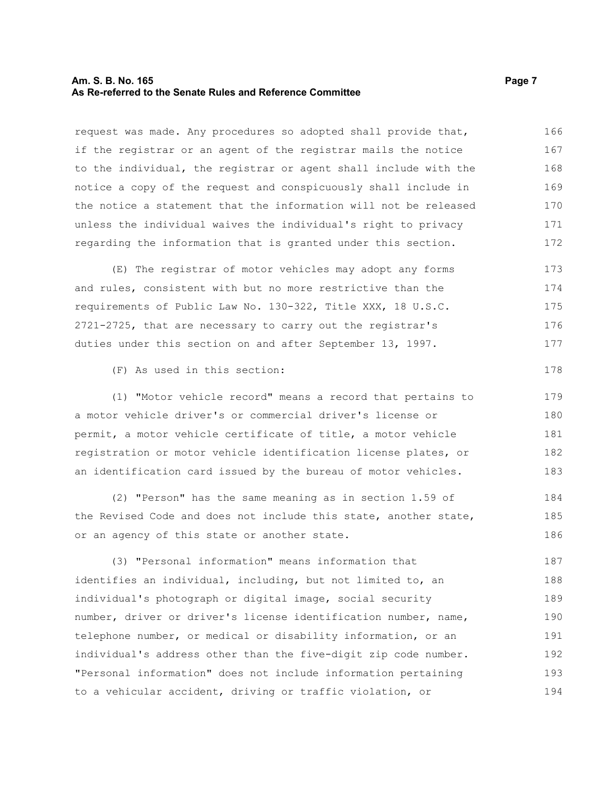#### **Am. S. B. No. 165 Page 7 As Re-referred to the Senate Rules and Reference Committee**

request was made. Any procedures so adopted shall provide that, if the registrar or an agent of the registrar mails the notice to the individual, the registrar or agent shall include with the notice a copy of the request and conspicuously shall include in the notice a statement that the information will not be released unless the individual waives the individual's right to privacy regarding the information that is granted under this section. 166 167 168 169 170 171 172

(E) The registrar of motor vehicles may adopt any forms and rules, consistent with but no more restrictive than the requirements of Public Law No. 130-322, Title XXX, 18 U.S.C. 2721-2725, that are necessary to carry out the registrar's duties under this section on and after September 13, 1997. 173 174 175 176 177

(F) As used in this section:

(1) "Motor vehicle record" means a record that pertains to a motor vehicle driver's or commercial driver's license or permit, a motor vehicle certificate of title, a motor vehicle registration or motor vehicle identification license plates, or an identification card issued by the bureau of motor vehicles. 179 180 181 182 183

(2) "Person" has the same meaning as in section 1.59 of the Revised Code and does not include this state, another state, or an agency of this state or another state. 184 185 186

(3) "Personal information" means information that identifies an individual, including, but not limited to, an individual's photograph or digital image, social security number, driver or driver's license identification number, name, telephone number, or medical or disability information, or an individual's address other than the five-digit zip code number. "Personal information" does not include information pertaining to a vehicular accident, driving or traffic violation, or 187 188 189 190 191 192 193 194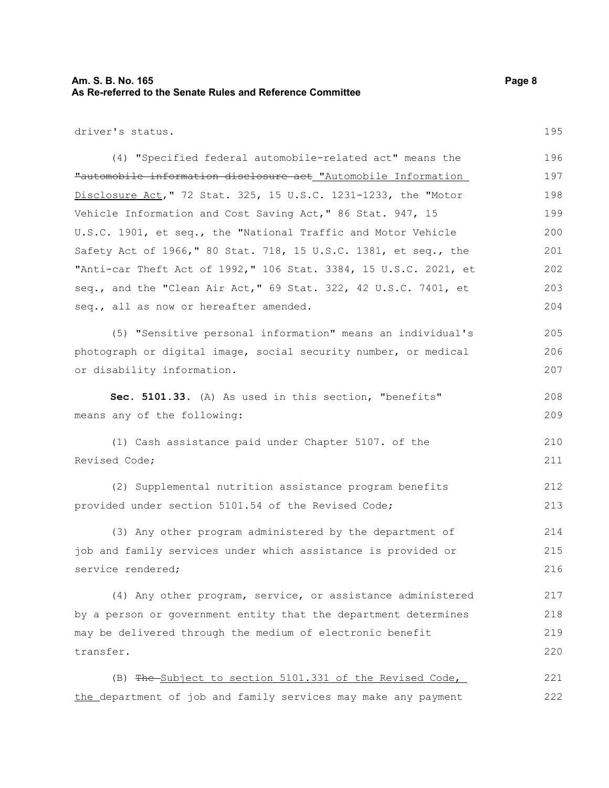#### **Am. S. B. No. 165 Page 8 As Re-referred to the Senate Rules and Reference Committee**

driver's status.

(4) "Specified federal automobile-related act" means the "automobile information disclosure act "Automobile Information Disclosure Act," 72 Stat. 325, 15 U.S.C. 1231-1233, the "Motor Vehicle Information and Cost Saving Act," 86 Stat. 947, 15 U.S.C. 1901, et seq., the "National Traffic and Motor Vehicle Safety Act of 1966," 80 Stat. 718, 15 U.S.C. 1381, et seq., the "Anti-car Theft Act of 1992," 106 Stat. 3384, 15 U.S.C. 2021, et seq., and the "Clean Air Act," 69 Stat. 322, 42 U.S.C. 7401, et seq., all as now or hereafter amended. 196 197 198 199 200 201 202 203 204

(5) "Sensitive personal information" means an individual's photograph or digital image, social security number, or medical or disability information.

**Sec. 5101.33.** (A) As used in this section, "benefits" means any of the following: 208 209

(1) Cash assistance paid under Chapter 5107. of the Revised Code; 210 211

(2) Supplemental nutrition assistance program benefits provided under section 5101.54 of the Revised Code; 212 213

(3) Any other program administered by the department of job and family services under which assistance is provided or service rendered; 214 215 216

(4) Any other program, service, or assistance administered by a person or government entity that the department determines may be delivered through the medium of electronic benefit transfer. 217 218 219 220

(B) The Subject to section 5101.331 of the Revised Code, the department of job and family services may make any payment 221 222

195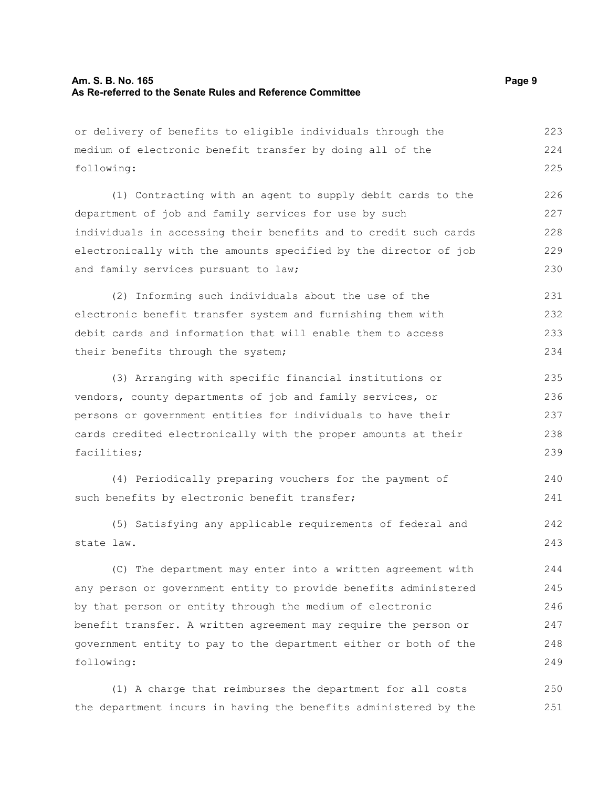### **Am. S. B. No. 165 Page 9 As Re-referred to the Senate Rules and Reference Committee**

| or delivery of benefits to eligible individuals through the      | 223 |
|------------------------------------------------------------------|-----|
| medium of electronic benefit transfer by doing all of the        | 224 |
| following:                                                       | 225 |
| (1) Contracting with an agent to supply debit cards to the       | 226 |
| department of job and family services for use by such            | 227 |
| individuals in accessing their benefits and to credit such cards | 228 |
| electronically with the amounts specified by the director of job | 229 |
| and family services pursuant to law;                             | 230 |
| (2) Informing such individuals about the use of the              | 231 |
| electronic benefit transfer system and furnishing them with      | 232 |
| debit cards and information that will enable them to access      | 233 |
| their benefits through the system;                               | 234 |
| (3) Arranging with specific financial institutions or            | 235 |
| vendors, county departments of job and family services, or       | 236 |
| persons or government entities for individuals to have their     | 237 |
| cards credited electronically with the proper amounts at their   | 238 |
| facilities;                                                      | 239 |
| (4) Periodically preparing vouchers for the payment of           | 240 |
| such benefits by electronic benefit transfer;                    | 241 |
| (5) Satisfying any applicable requirements of federal and        | 242 |
| state law.                                                       | 243 |
| (C) The department may enter into a written agreement with       | 244 |
| any person or government entity to provide benefits administered | 245 |
| by that person or entity through the medium of electronic        | 246 |
| benefit transfer. A written agreement may require the person or  | 247 |
| government entity to pay to the department either or both of the | 248 |
| following:                                                       | 249 |
| (1) A charge that reimburses the department for all costs        | 250 |

the department incurs in having the benefits administered by the 251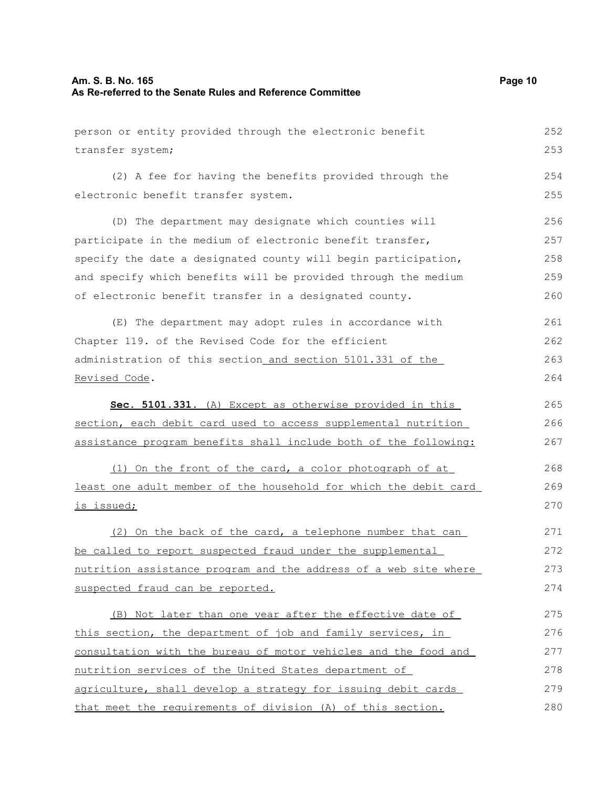| Am. S. B. No. 165<br>As Re-referred to the Senate Rules and Reference Committee | Page 10 |
|---------------------------------------------------------------------------------|---------|
| person or entity provided through the electronic benefit                        | 252     |
| transfer system;                                                                | 253     |
| (2) A fee for having the benefits provided through the                          | 254     |
| electronic benefit transfer system.                                             | 255     |
| (D) The department may designate which counties will                            | 256     |
| participate in the medium of electronic benefit transfer,                       | 257     |
| specify the date a designated county will begin participation,                  | 258     |
| and specify which benefits will be provided through the medium                  | 259     |
| of electronic benefit transfer in a designated county.                          | 260     |
| (E) The department may adopt rules in accordance with                           | 261     |
| Chapter 119. of the Revised Code for the efficient                              | 262     |
| administration of this section_and section 5101.331 of the                      | 263     |
| Revised Code.                                                                   | 264     |
| Sec. 5101.331. (A) Except as otherwise provided in this                         | 265     |
| section, each debit card used to access supplemental nutrition                  | 266     |
| assistance program benefits shall include both of the following:                | 267     |
| (1) On the front of the card, a color photograph of at                          | 268     |
| least one adult member of the household for which the debit card                | 269     |
| is issued;                                                                      | 270     |
| (2) On the back of the card, a telephone number that can                        | 271     |
| be called to report suspected fraud under the supplemental                      | 272     |
| nutrition assistance program and the address of a web site where                | 273     |
| suspected fraud can be reported.                                                | 274     |
| (B) Not later than one year after the effective date of                         | 275     |
| this section, the department of job and family services, in                     | 276     |
| consultation with the bureau of motor vehicles and the food and                 | 277     |
| nutrition services of the United States department of                           | 278     |
| agriculture, shall develop a strategy for issuing debit cards                   | 279     |
| that meet the requirements of division (A) of this section.                     | 280     |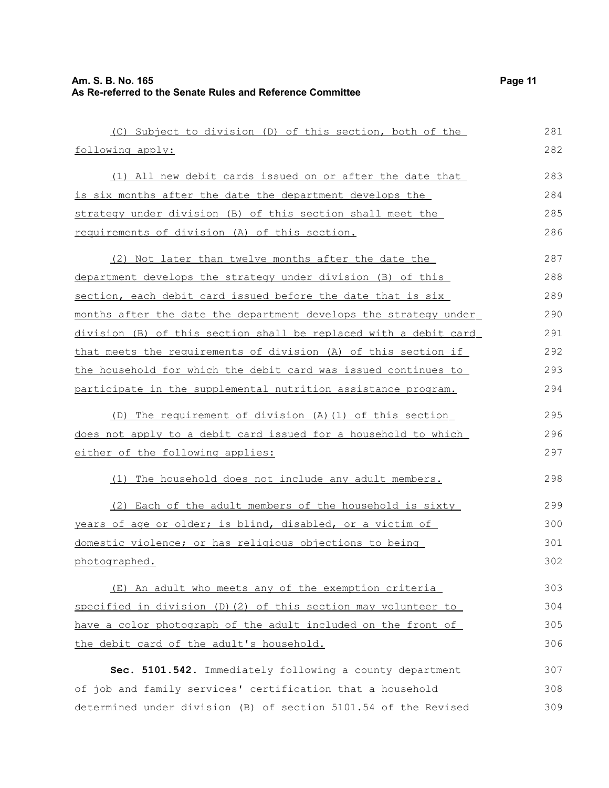| (C) Subject to division (D) of this section, both of the           | 281 |
|--------------------------------------------------------------------|-----|
| following apply:                                                   | 282 |
| (1) All new debit cards issued on or after the date that           | 283 |
| is six months after the date the department develops the           | 284 |
| strategy under division (B) of this section shall meet the         | 285 |
| requirements of division (A) of this section.                      | 286 |
| (2) Not later than twelve months after the date the                | 287 |
| <u>department develops the strategy under division (B) of this</u> | 288 |
| section, each debit card issued before the date that is six        | 289 |
| months after the date the department develops the strategy under   | 290 |
| division (B) of this section shall be replaced with a debit card   | 291 |
| that meets the requirements of division (A) of this section if     | 292 |
| the household for which the debit card was issued continues to     | 293 |
| participate in the supplemental nutrition assistance program.      | 294 |
| (D) The requirement of division (A) (1) of this section            | 295 |
| does not apply to a debit card issued for a household to which     | 296 |
| either of the following applies:                                   | 297 |
| The household does not include any adult members.<br>(1)           | 298 |
| (2) Each of the adult members of the household is sixty            | 299 |
| years of age or older; is blind, disabled, or a victim of          | 300 |
| domestic violence; or has religious objections to being            | 301 |
| photographed.                                                      | 302 |
| (E) An adult who meets any of the exemption criteria               | 303 |
| specified in division (D) $(2)$ of this section may volunteer to   | 304 |
| have a color photograph of the adult included on the front of      | 305 |
| the debit card of the adult's household.                           | 306 |
| Sec. 5101.542. Immediately following a county department           | 307 |
| of job and family services' certification that a household         | 308 |
| determined under division (B) of section 5101.54 of the Revised    | 309 |